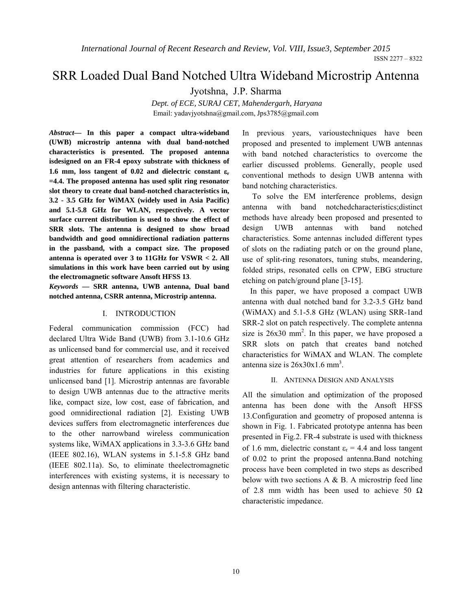ISSN 2277 – 8322

# SRR Loaded Dual Band Notched Ultra Wideband Microstrip Antenna

Jyotshna, J.P. Sharma

*Dept. of ECE, SURAJ CET, Mahendergarh, Haryana*  Email: yadavjyotshna@gmail.com, Jps3785@gmail.com

*Abstract***— In this paper a compact ultra-wideband (UWB) microstrip antenna with dual band-notched characteristics is presented. The proposed antenna isdesigned on an FR-4 epoxy substrate with thickness of 1.6 mm, loss tangent of 0.02 and dielectric constant** ε**<sup>r</sup> =4.4. The proposed antenna has used split ring resonator slot theory to create dual band-notched characteristics in, 3.2 - 3.5 GHz for WiMAX (widely used in Asia Pacific) and 5.1-5.8 GHz for WLAN, respectively. A vector surface current distribution is used to show the effect of SRR slots. The antenna is designed to show broad bandwidth and good omnidirectional radiation patterns in the passband, with a compact size. The proposed antenna is operated over 3 to 11GHz for VSWR < 2. All simulations in this work have been carried out by using the electromagnetic software Ansoft HFSS 13**.

*Keywords* **— SRR antenna, UWB antenna, Dual band notched antenna, CSRR antenna, Microstrip antenna.** 

## I. INTRODUCTION

Federal communication commission (FCC) had declared Ultra Wide Band (UWB) from 3.1-10.6 GHz as unlicensed band for commercial use, and it received great attention of researchers from academics and industries for future applications in this existing unlicensed band [1]. Microstrip antennas are favorable to design UWB antennas due to the attractive merits like, compact size, low cost, ease of fabrication, and good omnidirectional radiation [2]. Existing UWB devices suffers from electromagnetic interferences due to the other narrowband wireless communication systems like, WiMAX applications in 3.3-3.6 GHz band (IEEE 802.16), WLAN systems in 5.1-5.8 GHz band (IEEE 802.11a). So, to eliminate theelectromagnetic interferences with existing systems, it is necessary to design antennas with filtering characteristic.

In previous years, varioustechniques have been proposed and presented to implement UWB antennas with band notched characteristics to overcome the earlier discussed problems. Generally, people used conventional methods to design UWB antenna with band notching characteristics.

 To solve the EM interference problems, design antenna with band notchedcharacteristics;distinct methods have already been proposed and presented to design UWB antennas with band notched characteristics. Some antennas included different types of slots on the radiating patch or on the ground plane, use of split-ring resonators, tuning stubs, meandering, folded strips, resonated cells on CPW, EBG structure etching on patch/ground plane [3-15].

In this paper, we have proposed a compact UWB antenna with dual notched band for 3.2-3.5 GHz band (WiMAX) and 5.1-5.8 GHz (WLAN) using SRR-1and SRR-2 slot on patch respectively. The complete antenna size is  $26x30$  mm<sup>2</sup>. In this paper, we have proposed a SRR slots on patch that creates band notched characteristics for WiMAX and WLAN. The complete antenna size is  $26x30x1.6$  mm<sup>3</sup>.

## II. ANTENNA DESIGN AND ANALYSIS

All the simulation and optimization of the proposed antenna has been done with the Ansoft HFSS 13.Configuration and geometry of proposed antenna is shown in Fig. 1. Fabricated prototype antenna has been presented in Fig.2. FR-4 substrate is used with thickness of 1.6 mm, dielectric constant  $\varepsilon_r = 4.4$  and loss tangent of 0.02 to print the proposed antenna.Band notching process have been completed in two steps as described below with two sections  $A \& B$ . A microstrip feed line of 2.8 mm width has been used to achieve 50  $\Omega$ characteristic impedance.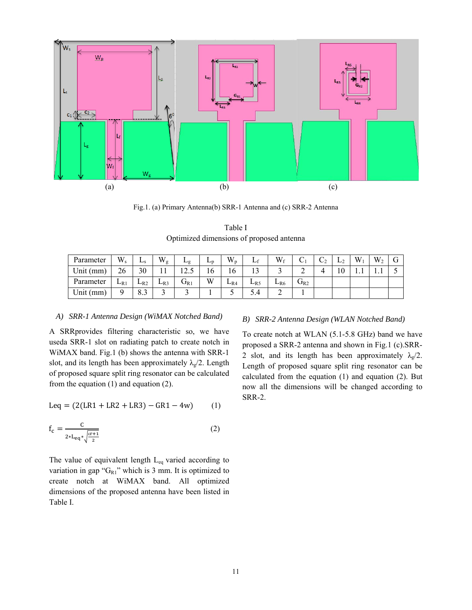

Fig.1. (a) Primary Antenna(b) SRR-1 Antenna and (c) SRR-2 Antenna

Table I Optimized dimensions of proposed antenna

| Parameter | $W_{s}$  | $L_{\rm S}$            | $W_g$    | ⊷g                       | டற | $W_p$    |          | $W_f$    | ◡                          | $\mathcal{L}_2$ | L <sub>2</sub> | W | W <sub>2</sub> |  |
|-----------|----------|------------------------|----------|--------------------------|----|----------|----------|----------|----------------------------|-----------------|----------------|---|----------------|--|
| Unit (mm) | 26       | 30                     |          | ⊥∠.J                     | 10 | 16       |          |          | ∸                          |                 | 1 V            |   |                |  |
| Parameter | $L_{R1}$ | $L_{R2}$               | $L_{R3}$ | $\mathbf{U}_{\text{R}1}$ | W  | $L_{R4}$ | $L_{R5}$ | $L_{R6}$ | $\mathbf{U}_{\textrm{R2}}$ |                 |                |   |                |  |
| Unit (mm) |          | $\circ$ $\circ$<br>د.ه |          |                          |    | ◡        | 5.4      |          |                            |                 |                |   |                |  |

## *A) SRR-1 Antenna Design (WiMAX Notched Band)*

A SRRprovides filtering characteristic so, we have useda SRR-1 slot on radiating patch to create notch in WiMAX band. Fig.1 (b) shows the antenna with SRR-1 slot, and its length has been approximately  $\lambda_{\rm g}/2$ . Length of proposed square split ring resonator can be calculated from the equation (1) and equation (2).

$$
Leq = (2(LR1 + LR2 + LR3) - GR1 - 4w) \tag{1}
$$

$$
f_c = \frac{c}{2 L_{eq} * \sqrt{\frac{c r + 1}{2}}} \tag{2}
$$

The value of equivalent length  $L_{eq}$  varied according to variation in gap " $G_{R1}$ " which is 3 mm. It is optimized to create notch at WiMAX band. All optimized dimensions of the proposed antenna have been listed in Table I.

## *B) SRR-2 Antenna Design (WLAN Notched Band)*

To create notch at WLAN (5.1-5.8 GHz) band we have proposed a SRR-2 antenna and shown in Fig.1 (c).SRR-2 slot, and its length has been approximately  $\lambda_{g}/2$ . Length of proposed square split ring resonator can be calculated from the equation (1) and equation (2). But now all the dimensions will be changed according to SRR-2.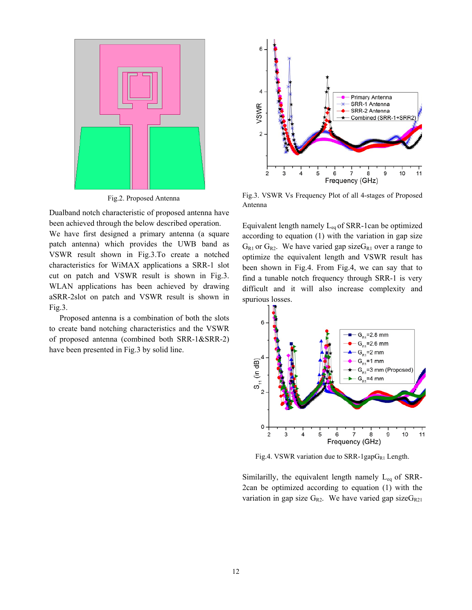

Fig.2. Proposed Antenna

Dualband notch characteristic of proposed antenna have been achieved through the below described operation.

We have first designed a primary antenna (a square patch antenna) which provides the UWB band as VSWR result shown in Fig.3.To create a notched characteristics for WiMAX applications a SRR-1 slot cut on patch and VSWR result is shown in Fig.3. WLAN applications has been achieved by drawing aSRR-2slot on patch and VSWR result is shown in Fig.3.

Proposed antenna is a combination of both the slots to create band notching characteristics and the VSWR of proposed antenna (combined both SRR-1&SRR-2) have been presented in Fig.3 by solid line.



Fig.3. VSWR Vs Frequency Plot of all 4-stages of Proposed Antenna

Equivalent length namely  $L_{eq}$  of SRR-1can be optimized according to equation (1) with the variation in gap size  $G_{R1}$  or  $G_{R2}$ . We have varied gap size  $G_{R1}$  over a range to optimize the equivalent length and VSWR result has been shown in Fig.4. From Fig.4, we can say that to find a tunable notch frequency through SRR-1 is very difficult and it will also increase complexity and spurious losses.



Fig.4. VSWR variation due to SRR-1gap $G_{R1}$  Length.

Similarilly, the equivalent length namely  $L_{eq}$  of SRR-2can be optimized according to equation (1) with the variation in gap size  $G_{R2}$ . We have varied gap size  $G_{R21}$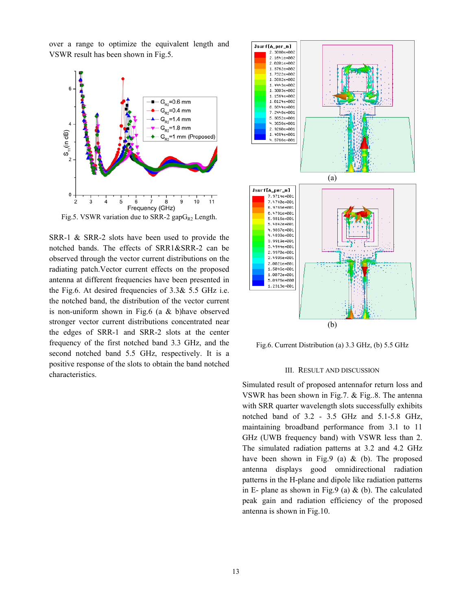over a range to optimize the equivalent length and VSWR result has been shown in Fig.5.



Fig.5. VSWR variation due to SRR-2 gap $G_{R2}$  Length.

SRR-1 & SRR-2 slots have been used to provide the notched bands. The effects of SRR1&SRR-2 can be observed through the vector current distributions on the radiating patch.Vector current effects on the proposed antenna at different frequencies have been presented in the Fig.6. At desired frequencies of 3.3& 5.5 GHz i.e. the notched band, the distribution of the vector current is non-uniform shown in Fig.6 (a & b)have observed stronger vector current distributions concentrated near the edges of SRR-1 and SRR-2 slots at the center frequency of the first notched band 3.3 GHz, and the second notched band 5.5 GHz, respectively. It is a positive response of the slots to obtain the band notched characteristics.



Fig.6. Current Distribution (a) 3.3 GHz, (b) 5.5 GHz

## III. RESULT AND DISCUSSION

Simulated result of proposed antennafor return loss and VSWR has been shown in Fig.7. & Fig..8. The antenna with SRR quarter wavelength slots successfully exhibits notched band of 3.2 - 3.5 GHz and 5.1-5.8 GHz, maintaining broadband performance from 3.1 to 11 GHz (UWB frequency band) with VSWR less than 2. The simulated radiation patterns at 3.2 and 4.2 GHz have been shown in Fig.9 (a)  $&$  (b). The proposed antenna displays good omnidirectional radiation patterns in the H-plane and dipole like radiation patterns in E- plane as shown in Fig.9 (a)  $\&$  (b). The calculated peak gain and radiation efficiency of the proposed antenna is shown in Fig.10.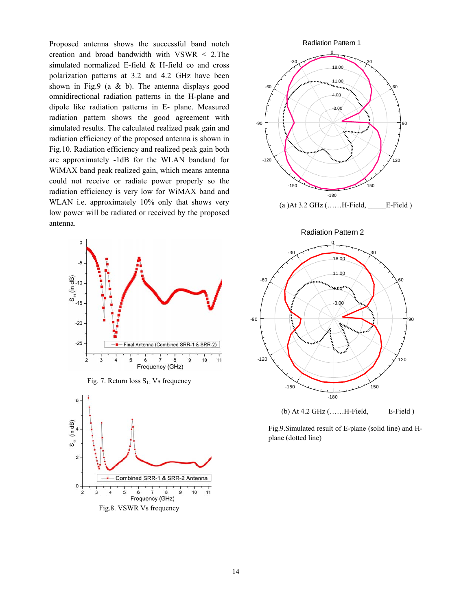Proposed antenna shows the successful band notch creation and broad bandwidth with VSWR < 2.The simulated normalized E-field & H-field co and cross polarization patterns at 3.2 and 4.2 GHz have been shown in Fig.9 (a & b). The antenna displays good omnidirectional radiation patterns in the H-plane and dipole like radiation patterns in E- plane. Measured radiation pattern shows the good agreement with simulated results. The calculated realized peak gain and radiation efficiency of the proposed antenna is shown in Fig.10. Radiation efficiency and realized peak gain both are approximately -1dB for the WLAN bandand for WiMAX band peak realized gain, which means antenna could not receive or radiate power properly so the radiation efficiency is very low for WiMAX band and WLAN i.e. approximately 10% only that shows very low power will be radiated or received by the proposed antenna.











Fig.9.Simulated result of E-plane (solid line) and Hplane (dotted line)